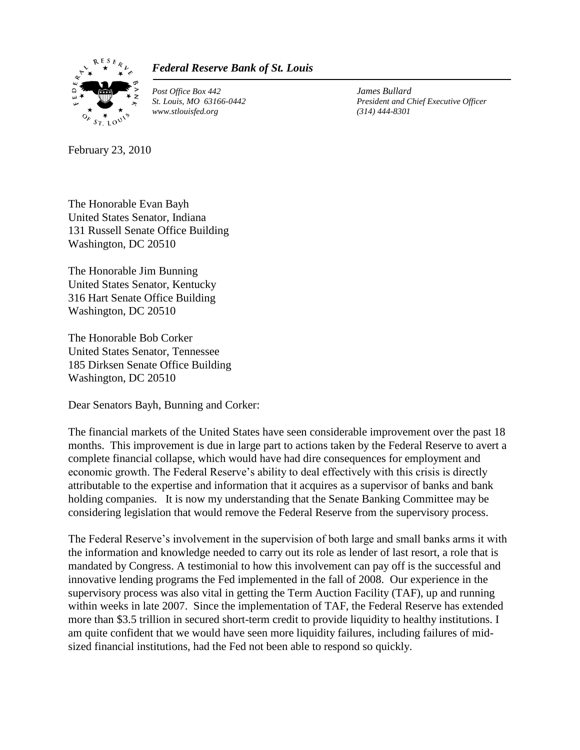

## *Federal Reserve Bank of St. Louis*

*Post Office Box 442 James Bullard www.stlouisfed.org (314) 444-8301*

*St. Louis, MO 63166-0442 President and Chief Executive Officer*

February 23, 2010

The Honorable Evan Bayh United States Senator, Indiana 131 Russell Senate Office Building Washington, DC 20510

The Honorable Jim Bunning United States Senator, Kentucky 316 Hart Senate Office Building Washington, DC 20510

The Honorable Bob Corker United States Senator, Tennessee 185 Dirksen Senate Office Building Washington, DC 20510

Dear Senators Bayh, Bunning and Corker:

The financial markets of the United States have seen considerable improvement over the past 18 months. This improvement is due in large part to actions taken by the Federal Reserve to avert a complete financial collapse, which would have had dire consequences for employment and economic growth. The Federal Reserve's ability to deal effectively with this crisis is directly attributable to the expertise and information that it acquires as a supervisor of banks and bank holding companies. It is now my understanding that the Senate Banking Committee may be considering legislation that would remove the Federal Reserve from the supervisory process.

The Federal Reserve's involvement in the supervision of both large and small banks arms it with the information and knowledge needed to carry out its role as lender of last resort, a role that is mandated by Congress. A testimonial to how this involvement can pay off is the successful and innovative lending programs the Fed implemented in the fall of 2008. Our experience in the supervisory process was also vital in getting the Term Auction Facility (TAF), up and running within weeks in late 2007. Since the implementation of TAF, the Federal Reserve has extended more than \$3.5 trillion in secured short-term credit to provide liquidity to healthy institutions. I am quite confident that we would have seen more liquidity failures, including failures of midsized financial institutions, had the Fed not been able to respond so quickly.